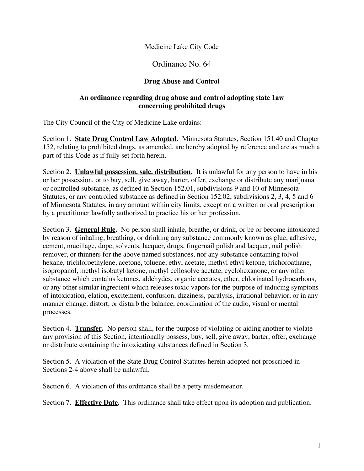#### Medicine Lake City Code

### Ordinance No. 64

#### **Drug Abuse and Control**

#### **An ordinance regarding drug abuse and control adopting state 1aw concerning prohibited drugs**

The City Council of the City of Medicine Lake ordains:

Section 1. **State Drug Control Law Adopted.** Minnesota Statutes, Section 151.40 and Chapter 152, relating to prohibited drugs, as amended, are hereby adopted by reference and are as much a part of this Code as if fully set forth herein.

Section 2. **Unlawful possession. sale. distribution.** It is unlawful for any person to have in his or her possession, or to buy, sell, give away, barter, offer, exchange or distribute any marijuana or controlled substance, as defined in Section 152.01, subdivisions 9 and 10 of Minnesota Statutes, or any controlled substance as defined in Section 152.02, subdivisions 2, 3, 4, 5 and 6 of Minnesota Statutes, in any amount within city limits, except on a written or oral prescription by a practitioner lawfully authorized to practice his or her profession.

Section 3. **General Rule.** No person shall inhale, breathe, or drink, or be or become intoxicated by reason of inhaling, breathing, or drinking any substance commonly known as glue, adhesive, cement, muci1age, dope, solvents, lacquer, drugs, fingernail polish and lacquer, nail polish remover, or thinners for the above named substances, nor any substance containing tolvol hexane, trichloroethylene, acetone, toluene, ethyl acetate, methyl ethyl ketone, trichoroathane, isopropanol, methyl isobutyl ketone, methyl cellosolve acetate, cyclohexanone, or any other substance which contains ketones, aldehydes, organic acetates, ether, chlorinated hydrocarbons, or any other similar ingredient which releases toxic vapors for the purpose of inducing symptons of intoxication, elation, excitement, confusion, dizziness, paralysis, irrational behavior, or in any manner change, distort, or disturb the balance, coordination of the audio, visual or mental processes.

Section 4. **Transfer.** No person shall, for the purpose of violating or aiding another to violate any provision of this Section, intentionally possess, buy, sell, give away, barter, offer, exchange or distribute containing the intoxicating substances defined in Section 3.

Section 5. A violation of the State Drug Control Statutes herein adopted not proscribed in Sections 2-4 above shall be unlawful.

Section 6. A violation of this ordinance shall be a petty misdemeanor.

Section 7. **Effective Date.** This ordinance shall take effect upon its adoption and publication.